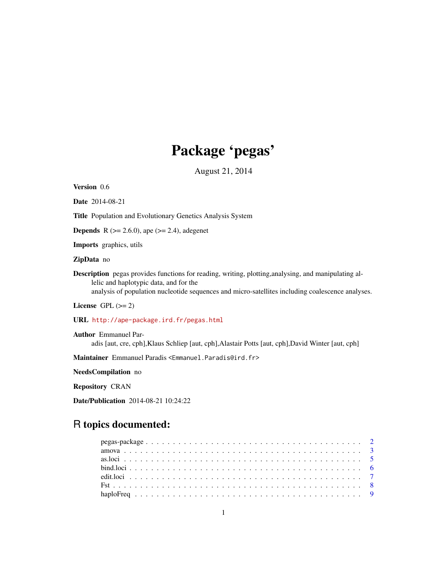# Package 'pegas'

August 21, 2014

<span id="page-0-0"></span>Version 0.6

Date 2014-08-21

Title Population and Evolutionary Genetics Analysis System

**Depends** R ( $>= 2.6.0$ ), ape ( $>= 2.4$ ), adegenet

Imports graphics, utils

ZipData no

Description pegas provides functions for reading, writing, plotting,analysing, and manipulating allelic and haplotypic data, and for the analysis of population nucleotide sequences and micro-satellites including coalescence analyses.

License GPL  $(>= 2)$ 

URL <http://ape-package.ird.fr/pegas.html>

Author Emmanuel Paradis [aut, cre, cph],Klaus Schliep [aut, cph],Alastair Potts [aut, cph],David Winter [aut, cph]

Maintainer Emmanuel Paradis <Emmanuel.Paradis@ird.fr>

NeedsCompilation no

Repository CRAN

Date/Publication 2014-08-21 10:24:22

# R topics documented: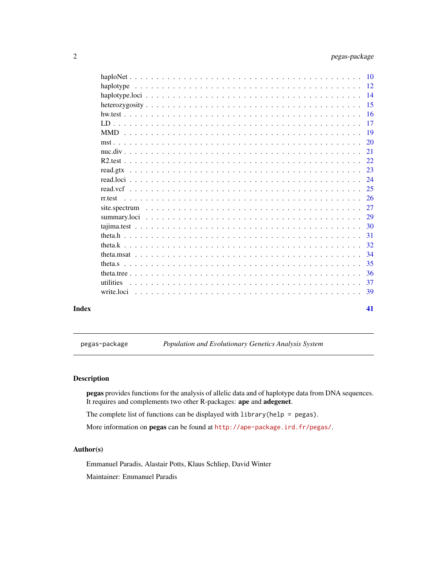<span id="page-1-0"></span>

|       |                                                                                                                                       | <b>20</b> |
|-------|---------------------------------------------------------------------------------------------------------------------------------------|-----------|
|       |                                                                                                                                       | 21        |
|       |                                                                                                                                       | 22        |
|       | read.gtx                                                                                                                              | 23        |
|       |                                                                                                                                       | 24        |
|       |                                                                                                                                       | 25        |
|       | rr.test                                                                                                                               |           |
|       |                                                                                                                                       |           |
|       |                                                                                                                                       |           |
|       |                                                                                                                                       |           |
|       |                                                                                                                                       | 31        |
|       |                                                                                                                                       | 32        |
|       |                                                                                                                                       | 34        |
|       |                                                                                                                                       | 35        |
|       |                                                                                                                                       | -36       |
|       | utilities<br><u>. In the second second second second second second second second second second second second second second second</u> | 37        |
|       |                                                                                                                                       | -39       |
| Index |                                                                                                                                       | 41        |

pegas-package *Population and Evolutionary Genetics Analysis System*

# Description

pegas provides functions for the analysis of allelic data and of haplotype data from DNA sequences. It requires and complements two other R-packages: ape and adegenet.

The complete list of functions can be displayed with library(help = pegas).

More information on **pegas** can be found at  $http://ape-package.ird.fr/pegas/.$  $http://ape-package.ird.fr/pegas/.$ 

# Author(s)

Emmanuel Paradis, Alastair Potts, Klaus Schliep, David Winter

Maintainer: Emmanuel Paradis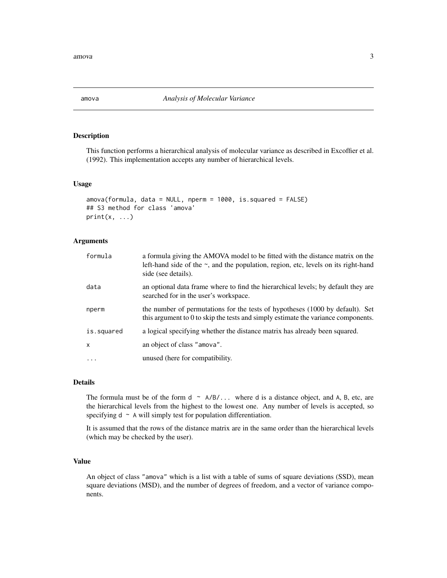<span id="page-2-1"></span><span id="page-2-0"></span>

#### Description

This function performs a hierarchical analysis of molecular variance as described in Excoffier et al. (1992). This implementation accepts any number of hierarchical levels.

#### Usage

```
amova(formula, data = NULL, nperm = 1000, is.squared = FALSE)
## S3 method for class 'amova'
print(x, \ldots)
```
# Arguments

| formula    | a formula giving the AMOVA model to be fitted with the distance matrix on the<br>left-hand side of the $\sim$ , and the population, region, etc, levels on its right-hand<br>side (see details). |
|------------|--------------------------------------------------------------------------------------------------------------------------------------------------------------------------------------------------|
| data       | an optional data frame where to find the hierarchical levels; by default they are<br>searched for in the user's workspace.                                                                       |
| nperm      | the number of permutations for the tests of hypotheses (1000 by default). Set<br>this argument to 0 to skip the tests and simply estimate the variance components.                               |
| is.squared | a logical specifying whether the distance matrix has already been squared.                                                                                                                       |
| X          | an object of class "amova".                                                                                                                                                                      |
| $\cdots$   | unused (here for compatibility.                                                                                                                                                                  |

#### Details

The formula must be of the form  $d \sim A/B/...$  where d is a distance object, and A, B, etc, are the hierarchical levels from the highest to the lowest one. Any number of levels is accepted, so specifying  $d \sim A$  will simply test for population differentiation.

It is assumed that the rows of the distance matrix are in the same order than the hierarchical levels (which may be checked by the user).

#### Value

An object of class "amova" which is a list with a table of sums of square deviations (SSD), mean square deviations (MSD), and the number of degrees of freedom, and a vector of variance components.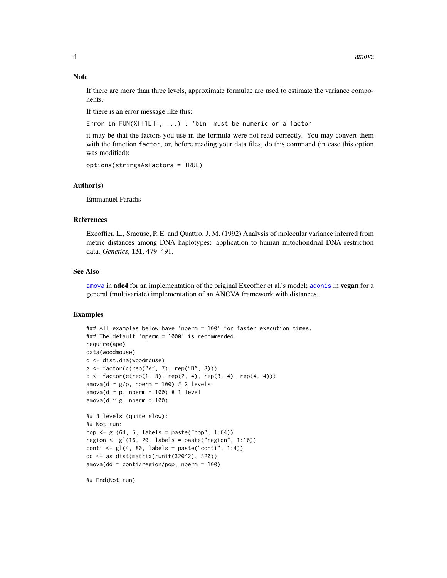<span id="page-3-0"></span>If there are more than three levels, approximate formulae are used to estimate the variance components.

If there is an error message like this:

Error in FUN(X[[1L]], ...) : 'bin' must be numeric or a factor

it may be that the factors you use in the formula were not read correctly. You may convert them with the function factor, or, before reading your data files, do this command (in case this option was modified):

```
options(stringsAsFactors = TRUE)
```
#### Author(s)

Emmanuel Paradis

#### References

Excoffier, L., Smouse, P. E. and Quattro, J. M. (1992) Analysis of molecular variance inferred from metric distances among DNA haplotypes: application to human mitochondrial DNA restriction data. *Genetics*, 131, 479–491.

#### See Also

[amova](#page-2-1) in **ade4** for an implementation of the original Excoffier et al.'s model; [adonis](#page-0-0) in vegan for a general (multivariate) implementation of an ANOVA framework with distances.

#### Examples

```
### All examples below have 'nperm = 100' for faster execution times.
### The default 'nperm = 1000' is recommended.
require(ape)
data(woodmouse)
d <- dist.dna(woodmouse)
g <- factor(c(rep("A", 7), rep("B", 8)))
p \leq - factor(c(rep(1, 3), rep(2, 4), rep(3, 4), rep(4, 4)))
amova(d \sim g/p, nperm = 100) # 2 levels
amova(d \sim p, nperm = 100) # 1 level
amova(d \sim g, nperm = 100)
## 3 levels (quite slow):
## Not run:
pop <- gl(64, 5, labels = paste("pop", 1:64))
region \leq gl(16, 20, labels = paste("region", 1:16))
\text{conti} \leq \text{gl}(4, 80, \text{ labels} = \text{ paste}("\text{conti}'', 1:4))dd <- as.dist(matrix(runif(320^2), 320))
amova(dd \sim conti/region/pop, nperm = 100)## End(Not run)
```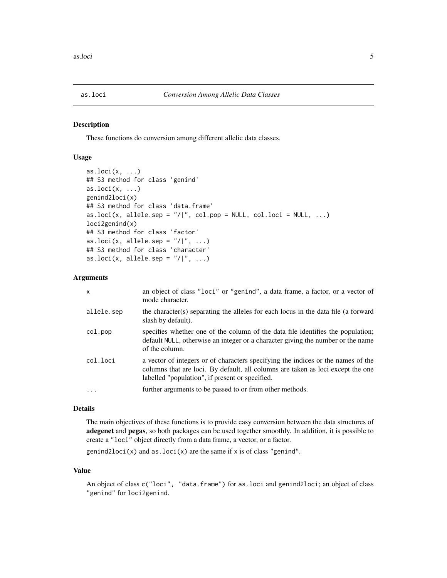<span id="page-4-0"></span>

#### Description

These functions do conversion among different allelic data classes.

# Usage

```
as.loci(x, \ldots)## S3 method for class 'genind'
as.loci(x, \ldots)genind2loci(x)
## S3 method for class 'data.frame'
as.loci(x, allele.sep = ''/|, col.pop = NULL, col.loci = NULL, ...)
loci2genind(x)
## S3 method for class 'factor'
as.loci(x, allele.sep = ''/|'', ...)
## S3 method for class 'character'
as.loci(x, allele.sep = ''/|'', ...)
```
# Arguments

| allele.sep<br>slash by default).<br>col.pop<br>of the column.<br>col.loci<br>labelled "population", if present or specified.<br>further arguments to be passed to or from other methods.<br>. | x | an object of class "loci" or "genind", a data frame, a factor, or a vector of<br>mode character.                                                                    |
|-----------------------------------------------------------------------------------------------------------------------------------------------------------------------------------------------|---|---------------------------------------------------------------------------------------------------------------------------------------------------------------------|
|                                                                                                                                                                                               |   | the character(s) separating the alleles for each locus in the data file (a forward                                                                                  |
|                                                                                                                                                                                               |   | specifies whether one of the column of the data file identifies the population;<br>default NULL, otherwise an integer or a character giving the number or the name  |
|                                                                                                                                                                                               |   | a vector of integers or of characters specifying the indices or the names of the<br>columns that are loci. By default, all columns are taken as loci except the one |
|                                                                                                                                                                                               |   |                                                                                                                                                                     |

# Details

The main objectives of these functions is to provide easy conversion between the data structures of adegenet and pegas, so both packages can be used together smoothly. In addition, it is possible to create a "loci" object directly from a data frame, a vector, or a factor.

genind2loci(x) and as.loci(x) are the same if  $x$  is of class "genind".

# Value

An object of class c("loci", "data.frame") for as.loci and genind2loci; an object of class "genind" for loci2genind.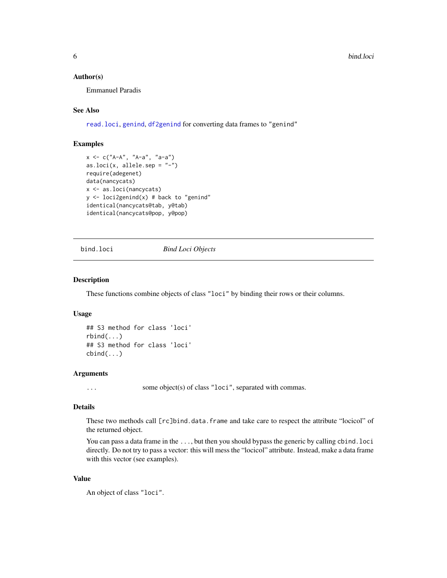#### <span id="page-5-0"></span>Author(s)

Emmanuel Paradis

# See Also

[read.loci](#page-23-1), [genind](#page-0-0), [df2genind](#page-0-0) for converting data frames to "genind"

# Examples

```
x <- c("A-A", "A-a", "a-a")
as.loci(x, allele.sep = "-")
require(adegenet)
data(nancycats)
x <- as.loci(nancycats)
y \le -\text{loci2genind}(x) \# \text{back to "genind"}identical(nancycats@tab, y@tab)
identical(nancycats@pop, y@pop)
```
bind.loci *Bind Loci Objects*

#### Description

These functions combine objects of class "loci" by binding their rows or their columns.

# Usage

```
## S3 method for class 'loci'
rbind(...)
## S3 method for class 'loci'
cbind(...)
```
# Arguments

... some object(s) of class "loci", separated with commas.

### Details

These two methods call [rc]bind.data.frame and take care to respect the attribute "locicol" of the returned object.

You can pass a data frame in the ..., but then you should bypass the generic by calling cbind.loci directly. Do not try to pass a vector: this will mess the "locicol" attribute. Instead, make a data frame with this vector (see examples).

#### Value

An object of class "loci".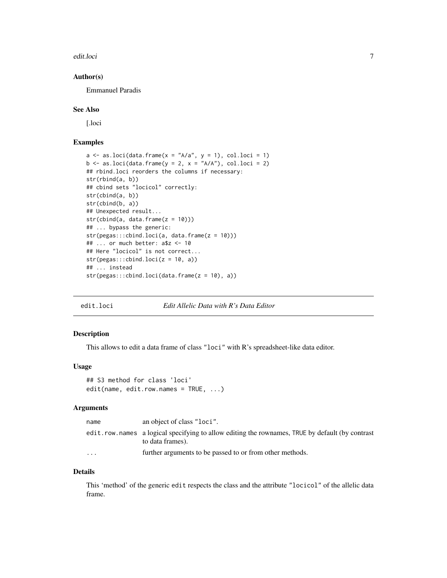<span id="page-6-0"></span>edit.loci 7

#### Author(s)

Emmanuel Paradis

#### See Also

[.loci

# Examples

```
a \leq a \leq b.loci(data.frame(x = "A/a", y = 1), col.loci = 1)
b \leq -as.loci(data.frame(y = 2, x = "A/A"), col.loci = 2)## rbind.loci reorders the columns if necessary:
str(rbind(a, b))
## cbind sets "locicol" correctly:
str(cbind(a, b))
str(cbind(b, a))
## Unexpected result...
str(cbind(a, data-frame(z = 10)))## ... bypass the generic:
str(pegas:::cbind.loci(a, data.frame(z = 10)))
## ... or much better: a$z <- 10
## Here "locicol" is not correct...
str(pegas::cbind.loci(z = 10, a))## ... instead
str(pegas:::cbind.loci(data.frame(z = 10), a))
```
<span id="page-6-1"></span>

#### edit.loci *Edit Allelic Data with R's Data Editor*

# Description

This allows to edit a data frame of class "loci" with R's spreadsheet-like data editor.

#### Usage

```
## S3 method for class 'loci'
edit(name, edit.row.names = TRUE, ...)
```
#### Arguments

| name     | an object of class "loci".                                                                                          |
|----------|---------------------------------------------------------------------------------------------------------------------|
|          | edit.row.names a logical specifying to allow editing the rownames, TRUE by default (by contrast<br>to data frames). |
| $\cdots$ | further arguments to be passed to or from other methods.                                                            |

#### Details

This 'method' of the generic edit respects the class and the attribute "locicol" of the allelic data frame.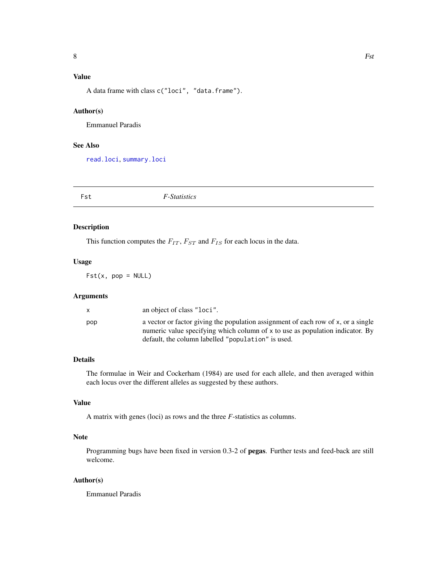# <span id="page-7-0"></span>Value

A data frame with class c("loci", "data.frame").

#### Author(s)

Emmanuel Paradis

# See Also

[read.loci](#page-23-1), [summary.loci](#page-28-1)

| Fst | <i>F</i> -Statistics |  |
|-----|----------------------|--|
|-----|----------------------|--|

#### Description

This function computes the  $F_{IT}$ ,  $F_{ST}$  and  $F_{IS}$  for each locus in the data.

# Usage

 $Fst(x, pop = NULL)$ 

#### Arguments

|     | an object of class "loci".                                                        |
|-----|-----------------------------------------------------------------------------------|
| pop | a vector or factor giving the population assignment of each row of x, or a single |
|     | numeric value specifying which column of x to use as population indicator. By     |
|     | default, the column labelled "population" is used.                                |

# Details

The formulae in Weir and Cockerham (1984) are used for each allele, and then averaged within each locus over the different alleles as suggested by these authors.

# Value

A matrix with genes (loci) as rows and the three *F*-statistics as columns.

# Note

Programming bugs have been fixed in version 0.3-2 of pegas. Further tests and feed-back are still welcome.

#### Author(s)

Emmanuel Paradis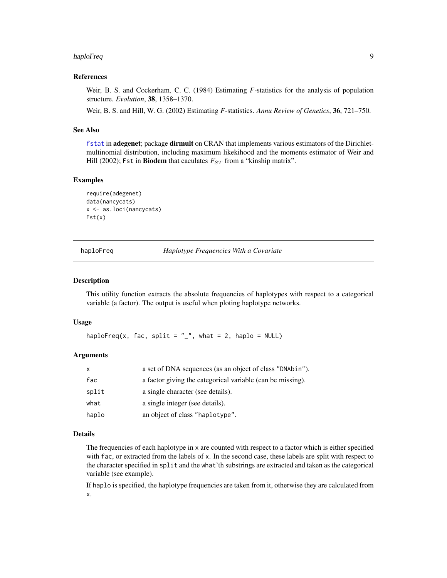#### <span id="page-8-0"></span>haploFreq 9

#### References

Weir, B. S. and Cockerham, C. C. (1984) Estimating *F*-statistics for the analysis of population structure. *Evolution*, 38, 1358–1370.

Weir, B. S. and Hill, W. G. (2002) Estimating *F*-statistics. *Annu Review of Genetics*, 36, 721–750.

# See Also

[fstat](#page-0-0) in adegenet; package dirmult on CRAN that implements various estimators of the Dirichletmultinomial distribution, including maximum likekihood and the moments estimator of Weir and Hill (2002); Fst in Biodem that caculates  $F_{ST}$  from a "kinship matrix".

#### Examples

```
require(adegenet)
data(nancycats)
x <- as.loci(nancycats)
Fst(x)
```
haploFreq *Haplotype Frequencies With a Covariate*

#### **Description**

This utility function extracts the absolute frequencies of haplotypes with respect to a categorical variable (a factor). The output is useful when ploting haplotype networks.

#### Usage

haploFreq(x, fac, split =  $"$ \_", what = 2, haplo = NULL)

# Arguments

| X     | a set of DNA sequences (as an object of class "DNAbin").   |
|-------|------------------------------------------------------------|
| fac   | a factor giving the categorical variable (can be missing). |
| split | a single character (see details).                          |
| what  | a single integer (see details).                            |
| haplo | an object of class "haplotype".                            |

# Details

The frequencies of each haplotype in x are counted with respect to a factor which is either specified with fac, or extracted from the labels of x. In the second case, these labels are split with respect to the character specified in split and the what'th substrings are extracted and taken as the categorical variable (see example).

If haplo is specified, the haplotype frequencies are taken from it, otherwise they are calculated from x.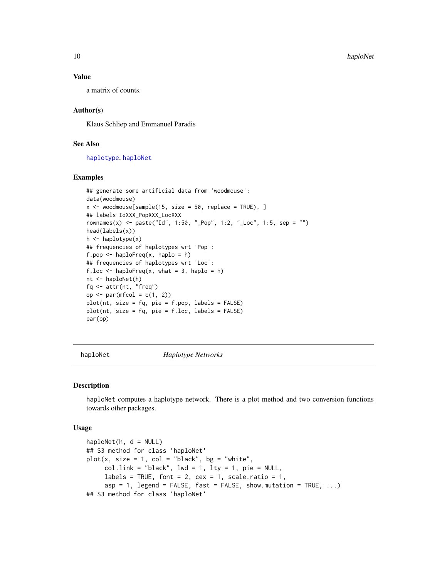#### Value

a matrix of counts.

# Author(s)

Klaus Schliep and Emmanuel Paradis

# See Also

[haplotype](#page-11-1), [haploNet](#page-9-1)

#### Examples

```
## generate some artificial data from 'woodmouse':
data(woodmouse)
x \le - woodmouse[sample(15, size = 50, replace = TRUE), ]
## labels IdXXX_PopXXX_LocXXX
rownames(x) <- paste("Id", 1:50, "_Pop", 1:2, "_Loc", 1:5, sep = "")
head(labels(x))
h \leq - haplotype(x)## frequencies of haplotypes wrt 'Pop':
f.pop \leq haploFreq(x, haplo = h)
## frequencies of haplotypes wrt 'Loc':
f.loc \leq haploFreq(x, what = 3, haplo = h)
nt <- haploNet(h)
fq <- attr(nt, "freq")
op \leq par(mfcol = c(1, 2))
plot(nt, size = fq, pie = f.pop, labels = FALSE)
plot(nt, size = fq, pie = f.loc, labels = FALSE)
par(op)
```
<span id="page-9-1"></span>haploNet *Haplotype Networks*

# Description

haploNet computes a haplotype network. There is a plot method and two conversion functions towards other packages.

#### Usage

```
haploNet(h, d = NULL)## S3 method for class 'haploNet'
plot(x, size = 1, col = "black", bg = "white",col .link = "black", lwd = 1, lty = 1, pie = NULL,labels = TRUE, font = 2, cex = 1, scale.ratio = 1,
     asp = 1, legend = FALSE, fast = FALSE, show.mutation = TRUE, ...)
## S3 method for class 'haploNet'
```
<span id="page-9-0"></span>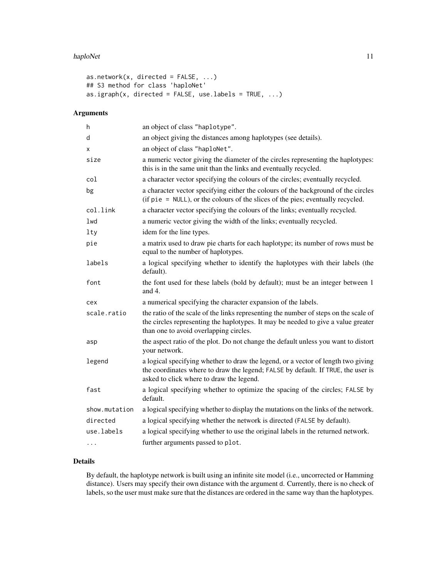#### haploNet 11

```
as.network(x, directed = FALSE, ...)
## S3 method for class 'haploNet'
as.igraph(x, directed = FALSE, use.labels = TRUE, ...)
```
# Arguments

| h             | an object of class "haplotype".                                                                                                                                                                                     |
|---------------|---------------------------------------------------------------------------------------------------------------------------------------------------------------------------------------------------------------------|
| d             | an object giving the distances among haplotypes (see details).                                                                                                                                                      |
| X             | an object of class "haploNet".                                                                                                                                                                                      |
| size          | a numeric vector giving the diameter of the circles representing the haplotypes:<br>this is in the same unit than the links and eventually recycled.                                                                |
| col           | a character vector specifying the colours of the circles; eventually recycled.                                                                                                                                      |
| bg            | a character vector specifying either the colours of the background of the circles<br>(if pie = NULL), or the colours of the slices of the pies; eventually recycled.                                                |
| col.link      | a character vector specifying the colours of the links; eventually recycled.                                                                                                                                        |
| lwd           | a numeric vector giving the width of the links; eventually recycled.                                                                                                                                                |
| lty           | idem for the line types.                                                                                                                                                                                            |
| pie           | a matrix used to draw pie charts for each haplotype; its number of rows must be<br>equal to the number of haplotypes.                                                                                               |
| labels        | a logical specifying whether to identify the haplotypes with their labels (the<br>default).                                                                                                                         |
| font          | the font used for these labels (bold by default); must be an integer between 1<br>and 4.                                                                                                                            |
| cex           | a numerical specifying the character expansion of the labels.                                                                                                                                                       |
| scale.ratio   | the ratio of the scale of the links representing the number of steps on the scale of<br>the circles representing the haplotypes. It may be needed to give a value greater<br>than one to avoid overlapping circles. |
| asp           | the aspect ratio of the plot. Do not change the default unless you want to distort<br>your network.                                                                                                                 |
| legend        | a logical specifying whether to draw the legend, or a vector of length two giving<br>the coordinates where to draw the legend; FALSE by default. If TRUE, the user is<br>asked to click where to draw the legend.   |
| fast          | a logical specifying whether to optimize the spacing of the circles; FALSE by<br>default.                                                                                                                           |
| show.mutation | a logical specifying whether to display the mutations on the links of the network.                                                                                                                                  |
| directed      | a logical specifying whether the network is directed (FALSE by default).                                                                                                                                            |
| use.labels    | a logical specifying whether to use the original labels in the returned network.                                                                                                                                    |
|               | further arguments passed to plot.                                                                                                                                                                                   |

# Details

By default, the haplotype network is built using an infinite site model (i.e., uncorrected or Hamming distance). Users may specify their own distance with the argument d. Currently, there is no check of labels, so the user must make sure that the distances are ordered in the same way than the haplotypes.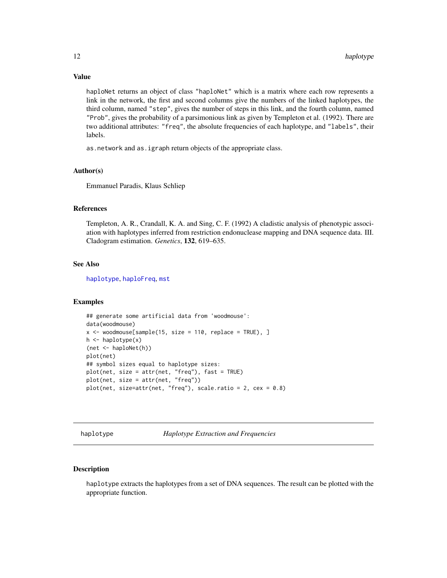haploNet returns an object of class "haploNet" which is a matrix where each row represents a link in the network, the first and second columns give the numbers of the linked haplotypes, the third column, named "step", gives the number of steps in this link, and the fourth column, named "Prob", gives the probability of a parsimonious link as given by Templeton et al. (1992). There are two additional attributes: "freq", the absolute frequencies of each haplotype, and "labels", their labels.

as.network and as.igraph return objects of the appropriate class.

#### Author(s)

Emmanuel Paradis, Klaus Schliep

# References

Templeton, A. R., Crandall, K. A. and Sing, C. F. (1992) A cladistic analysis of phenotypic association with haplotypes inferred from restriction endonuclease mapping and DNA sequence data. III. Cladogram estimation. *Genetics*, 132, 619–635.

# See Also

[haplotype](#page-11-1), [haploFreq](#page-8-1), [mst](#page-19-1)

#### Examples

```
## generate some artificial data from 'woodmouse':
data(woodmouse)
x <- woodmouse[sample(15, size = 110, replace = TRUE), ]
h \leftarrow \text{haplotype}(x)(net <- haploNet(h))
plot(net)
## symbol sizes equal to haplotype sizes:
plot(net, size = attr(net, "freq"), fast = TRUE)
plot(net, size = attr(net, "freq"))
plot(net, size=attr(net, "freq"), scale.ratio = 2, cex = 0.8)
```
<span id="page-11-1"></span>haplotype *Haplotype Extraction and Frequencies*

# Description

haplotype extracts the haplotypes from a set of DNA sequences. The result can be plotted with the appropriate function.

<span id="page-11-0"></span>

# Value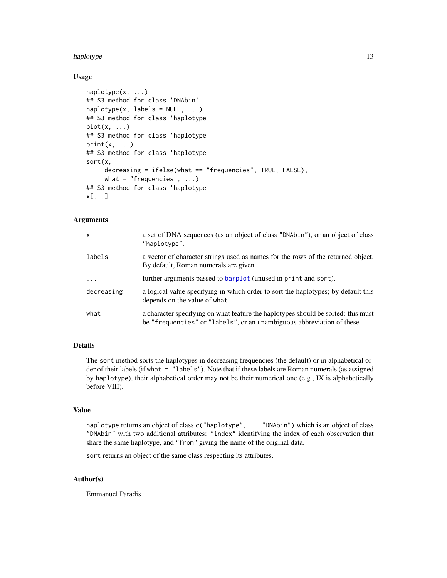#### <span id="page-12-0"></span>haplotype that the contract of the contract of the contract of the contract of the contract of the contract of the contract of the contract of the contract of the contract of the contract of the contract of the contract of

# Usage

```
haplotype(x, ...)
## S3 method for class 'DNAbin'
haplotype(x, labels = NULL, ...)## S3 method for class 'haplotype'
plot(x, \ldots)## S3 method for class 'haplotype'
print(x, \ldots)## S3 method for class 'haplotype'
sort(x,
     decreasing = ifelse(what == "frequencies", TRUE, FALSE),
     what = "frequencies", \dots)
## S3 method for class 'haplotype'
x[...]
```
#### Arguments

| $\mathsf{x}$ | a set of DNA sequences (as an object of class "DNAbin"), or an object of class<br>"haplotype".                                                              |
|--------------|-------------------------------------------------------------------------------------------------------------------------------------------------------------|
| labels       | a vector of character strings used as names for the rows of the returned object.<br>By default, Roman numerals are given.                                   |
| $\cdot$      | further arguments passed to barplot (unused in print and sort).                                                                                             |
| decreasing   | a logical value specifying in which order to sort the haplotypes; by default this<br>depends on the value of what.                                          |
| what         | a character specifying on what feature the haplotypes should be sorted: this must<br>be "frequencies" or "labels", or an unambiguous abbreviation of these. |

# Details

The sort method sorts the haplotypes in decreasing frequencies (the default) or in alphabetical order of their labels (if what = "labels"). Note that if these labels are Roman numerals (as assigned by haplotype), their alphabetical order may not be their numerical one (e.g., IX is alphabetically before VIII).

#### Value

haplotype returns an object of class c("haplotype", "DNAbin") which is an object of class "DNAbin" with two additional attributes: "index" identifying the index of each observation that share the same haplotype, and "from" giving the name of the original data.

sort returns an object of the same class respecting its attributes.

### Author(s)

Emmanuel Paradis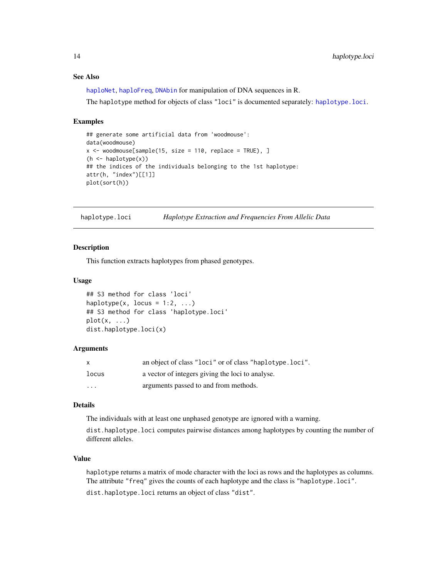# See Also

[haploNet](#page-9-1), [haploFreq](#page-8-1), [DNAbin](#page-0-0) for manipulation of DNA sequences in R.

The haplotype method for objects of class "loci" is documented separately: [haplotype.loci](#page-13-1).

#### Examples

```
## generate some artificial data from 'woodmouse':
data(woodmouse)
x \le - woodmouse[sample(15, size = 110, replace = TRUE), ]
(h <- haplotype(x))
## the indices of the individuals belonging to the 1st haplotype:
attr(h, "index")[[1]]
plot(sort(h))
```
<span id="page-13-1"></span>haplotype.loci *Haplotype Extraction and Frequencies From Allelic Data*

#### Description

This function extracts haplotypes from phased genotypes.

#### Usage

```
## S3 method for class 'loci'
haplotype(x, locus = 1:2, ...)
## S3 method for class 'haplotype.loci'
plot(x, ...)
dist.haplotype.loci(x)
```
#### Arguments

| X                       | an object of class "loci" or of class "haplotype.loci". |
|-------------------------|---------------------------------------------------------|
| locus                   | a vector of integers giving the loci to analyse.        |
| $\cdot$ $\cdot$ $\cdot$ | arguments passed to and from methods.                   |

# Details

The individuals with at least one unphased genotype are ignored with a warning.

dist.haplotype.loci computes pairwise distances among haplotypes by counting the number of different alleles.

#### Value

haplotype returns a matrix of mode character with the loci as rows and the haplotypes as columns. The attribute "freq" gives the counts of each haplotype and the class is "haplotype.loci".

dist.haplotype.loci returns an object of class "dist".

<span id="page-13-0"></span>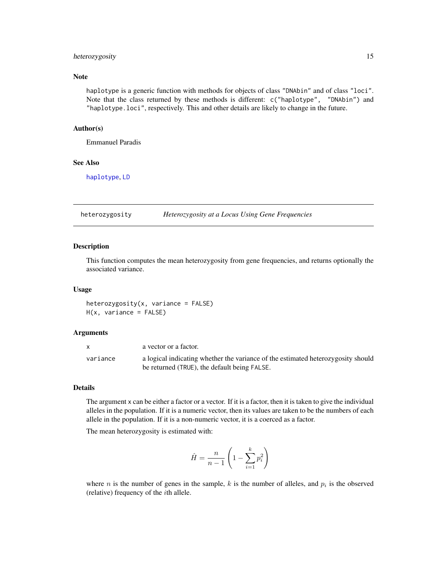# <span id="page-14-0"></span>heterozygosity 15

# Note

haplotype is a generic function with methods for objects of class "DNAbin" and of class "loci". Note that the class returned by these methods is different: c("haplotype", "DNAbin") and "haplotype.loci", respectively. This and other details are likely to change in the future.

#### Author(s)

Emmanuel Paradis

#### See Also

[haplotype](#page-11-1), [LD](#page-16-1)

<span id="page-14-1"></span>heterozygosity *Heterozygosity at a Locus Using Gene Frequencies*

#### Description

This function computes the mean heterozygosity from gene frequencies, and returns optionally the associated variance.

#### Usage

 $heterozygosity(x, variance = FALSE)$ H(x, variance = FALSE)

#### Arguments

|          | a vector or a factor.                                                            |
|----------|----------------------------------------------------------------------------------|
| variance | a logical indicating whether the variance of the estimated heterozygosity should |
|          | be returned (TRUE), the default being FALSE.                                     |

# Details

The argument x can be either a factor or a vector. If it is a factor, then it is taken to give the individual alleles in the population. If it is a numeric vector, then its values are taken to be the numbers of each allele in the population. If it is a non-numeric vector, it is a coerced as a factor.

The mean heterozygosity is estimated with:

$$
\hat{H} = \frac{n}{n-1} \left( 1 - \sum_{i=1}^{k} p_i^2 \right)
$$

where *n* is the number of genes in the sample,  $k$  is the number of alleles, and  $p_i$  is the observed (relative) frequency of the ith allele.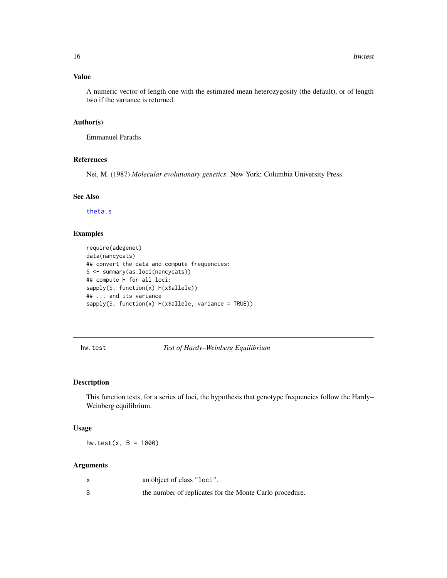# <span id="page-15-0"></span>Value

A numeric vector of length one with the estimated mean heterozygosity (the default), or of length two if the variance is returned.

# Author(s)

Emmanuel Paradis

#### References

Nei, M. (1987) *Molecular evolutionary genetics*. New York: Columbia University Press.

# See Also

[theta.s](#page-34-1)

# Examples

```
require(adegenet)
data(nancycats)
## convert the data and compute frequencies:
S <- summary(as.loci(nancycats))
## compute H for all loci:
sapply(S, function(x) H(x$allele))
## ... and its variance
sapply(S, function(x) H(x$allele, variance = TRUE))
```

```
hw.test Test of Hardy–Weinberg Equilibrium
```
# Description

This function tests, for a series of loci, the hypothesis that genotype frequencies follow the Hardy– Weinberg equilibrium.

#### Usage

hw.test(x,  $B = 1000$ )

# Arguments

|   | an object of class "loci".                              |
|---|---------------------------------------------------------|
| B | the number of replicates for the Monte Carlo procedure. |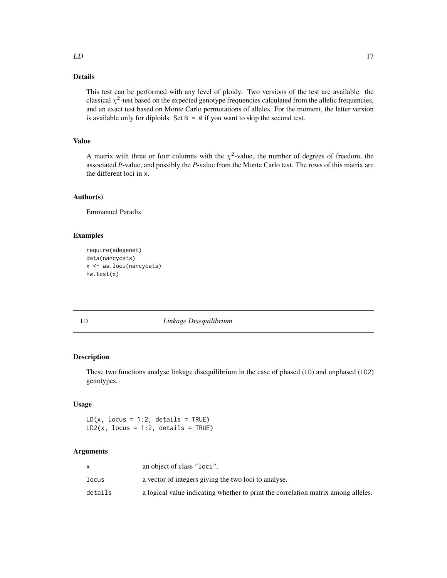# <span id="page-16-0"></span>Details

This test can be performed with any level of ploidy. Two versions of the test are available: the classical  $\chi^2$ -test based on the expected genotype frequencies calculated from the allelic frequencies, and an exact test based on Monte Carlo permutations of alleles. For the moment, the latter version is available only for diploids. Set  $B = 0$  if you want to skip the second test.

# Value

A matrix with three or four columns with the  $\chi^2$ -value, the number of degrees of freedom, the associated *P*-value, and possibly the *P*-value from the Monte Carlo test. The rows of this matrix are the different loci in x.

# Author(s)

Emmanuel Paradis

#### Examples

```
require(adegenet)
data(nancycats)
x <- as.loci(nancycats)
hw.test(x)
```
# <span id="page-16-1"></span>LD *Linkage Disequilibrium*

# Description

These two functions analyse linkage disequilibrium in the case of phased (LD) and unphased (LD2) genotypes.

#### Usage

 $LD(x, locus = 1:2, details = TRUE)$  $LD2(x, locus = 1:2, details = TRUE)$ 

#### Arguments

|         | an object of class "loci".                                                        |
|---------|-----------------------------------------------------------------------------------|
| locus   | a vector of integers giving the two loci to analyse.                              |
| details | a logical value indicating whether to print the correlation matrix among alleles. |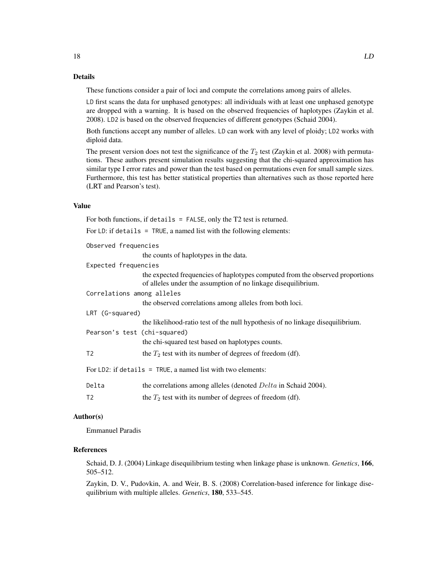These functions consider a pair of loci and compute the correlations among pairs of alleles.

LD first scans the data for unphased genotypes: all individuals with at least one unphased genotype are dropped with a warning. It is based on the observed frequencies of haplotypes (Zaykin et al. 2008). LD2 is based on the observed frequencies of different genotypes (Schaid 2004).

Both functions accept any number of alleles. LD can work with any level of ploidy; LD2 works with diploid data.

The present version does not test the significance of the  $T_2$  test (Zaykin et al. 2008) with permutations. These authors present simulation results suggesting that the chi-squared approximation has similar type I error rates and power than the test based on permutations even for small sample sizes. Furthermore, this test has better statistical properties than alternatives such as those reported here (LRT and Pearson's test).

# Value

|                              | For both functions, if details = $FALSE$ , only the T2 test is returned.                                                                       |
|------------------------------|------------------------------------------------------------------------------------------------------------------------------------------------|
|                              | For LD: if details = $TRUE$ , a named list with the following elements:                                                                        |
| Observed frequencies         |                                                                                                                                                |
|                              | the counts of haplotypes in the data.                                                                                                          |
| Expected frequencies         |                                                                                                                                                |
|                              | the expected frequencies of haplotypes computed from the observed proportions<br>of alleles under the assumption of no linkage disequilibrium. |
| Correlations among alleles   |                                                                                                                                                |
|                              | the observed correlations among alleles from both loci.                                                                                        |
| LRT (G-squared)              |                                                                                                                                                |
|                              | the likelihood-ratio test of the null hypothesis of no linkage disequilibrium.                                                                 |
| Pearson's test (chi-squared) |                                                                                                                                                |
|                              | the chi-squared test based on haplotypes counts.                                                                                               |
| T <sub>2</sub>               | the $T_2$ test with its number of degrees of freedom (df).                                                                                     |
|                              | For LD2: if details = TRUE, a named list with two elements:                                                                                    |
| Delta                        | the correlations among alleles (denoted <i>Delta</i> in Schaid 2004).                                                                          |
| T <sub>2</sub>               | the $T_2$ test with its number of degrees of freedom (df).                                                                                     |
|                              |                                                                                                                                                |

# Author(s)

Emmanuel Paradis

# References

Schaid, D. J. (2004) Linkage disequilibrium testing when linkage phase is unknown. *Genetics*, 166, 505–512.

Zaykin, D. V., Pudovkin, A. and Weir, B. S. (2008) Correlation-based inference for linkage disequilibrium with multiple alleles. *Genetics*, 180, 533–545.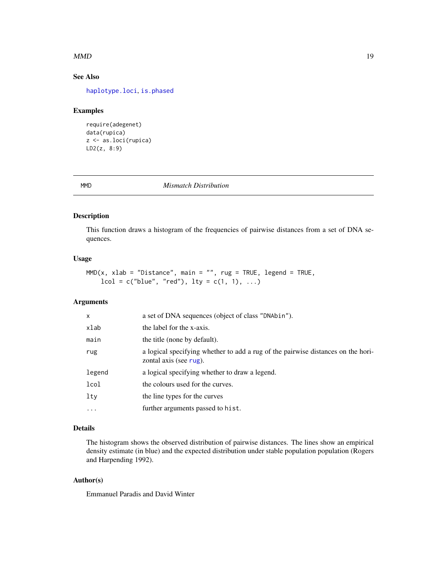#### <span id="page-18-0"></span> $MMD$  19

# See Also

[haplotype.loci](#page-13-1), [is.phased](#page-36-1)

#### Examples

```
require(adegenet)
data(rupica)
z <- as.loci(rupica)
LD2(z, 8:9)
```
MMD *Mismatch Distribution*

# Description

This function draws a histogram of the frequencies of pairwise distances from a set of DNA sequences.

#### Usage

```
MMD(x, xlab = "Distance", main = "", rug = TRUE, legend = TRUE,lcol = c("blue", "red"), lty = c(1, 1), ...)
```
# Arguments

| x        | a set of DNA sequences (object of class "DNAbin").                                                         |
|----------|------------------------------------------------------------------------------------------------------------|
| xlab     | the label for the x-axis.                                                                                  |
| main     | the title (none by default).                                                                               |
| rug      | a logical specifying whether to add a rug of the pairwise distances on the hori-<br>zontal axis (see rug). |
| legend   | a logical specifying whether to draw a legend.                                                             |
| lcol     | the colours used for the curves.                                                                           |
| lty      | the line types for the curves                                                                              |
| $\cdots$ | further arguments passed to hist.                                                                          |

# Details

The histogram shows the observed distribution of pairwise distances. The lines show an empirical density estimate (in blue) and the expected distribution under stable population population (Rogers and Harpending 1992).

# Author(s)

Emmanuel Paradis and David Winter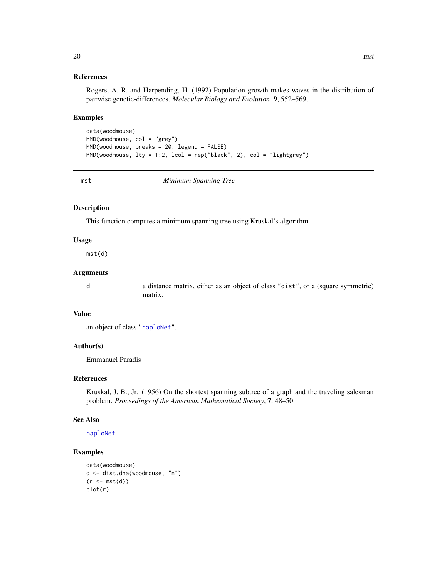#### References

Rogers, A. R. and Harpending, H. (1992) Population growth makes waves in the distribution of pairwise genetic-differences. *Molecular Biology and Evolution*, 9, 552–569.

#### Examples

```
data(woodmouse)
MMD(woodmouse, col = "grey")
MMD(woodmouse, breaks = 20, legend = FALSE)
MMD(woodmouse, lty = 1:2, lcol = rep("black", 2), col = "lightgrey")
```
<span id="page-19-1"></span>mst *Minimum Spanning Tree*

#### Description

This function computes a minimum spanning tree using Kruskal's algorithm.

#### Usage

mst(d)

# Arguments

d a distance matrix, either as an object of class "dist", or a (square symmetric) matrix.

#### Value

an object of class ["haploNet"](#page-9-1).

#### Author(s)

Emmanuel Paradis

#### References

Kruskal, J. B., Jr. (1956) On the shortest spanning subtree of a graph and the traveling salesman problem. *Proceedings of the American Mathematical Society*, 7, 48–50.

#### See Also

[haploNet](#page-9-1)

#### Examples

```
data(woodmouse)
d <- dist.dna(woodmouse, "n")
(r < -mst(d))plot(r)
```
<span id="page-19-0"></span>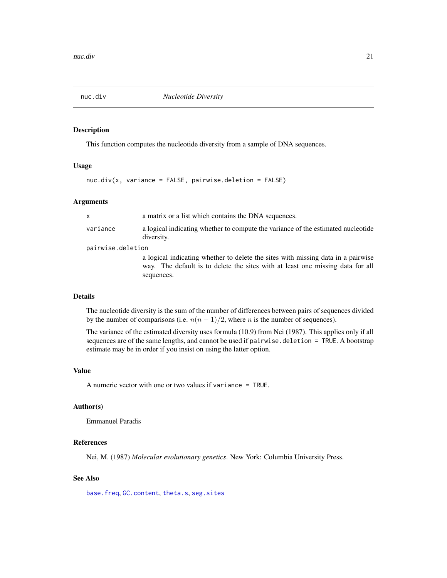<span id="page-20-1"></span><span id="page-20-0"></span>

#### Description

This function computes the nucleotide diversity from a sample of DNA sequences.

#### Usage

nuc.div(x, variance = FALSE, pairwise.deletion = FALSE)

#### Arguments

| x                 | a matrix or a list which contains the DNA sequences.                                                                                                                             |  |
|-------------------|----------------------------------------------------------------------------------------------------------------------------------------------------------------------------------|--|
| variance          | a logical indicating whether to compute the variance of the estimated nucleotide<br>diversity.                                                                                   |  |
| pairwise.deletion |                                                                                                                                                                                  |  |
|                   | a logical indicating whether to delete the sites with missing data in a pairwise<br>way. The default is to delete the sites with at least one missing data for all<br>sequences. |  |
|                   |                                                                                                                                                                                  |  |

#### Details

The nucleotide diversity is the sum of the number of differences between pairs of sequences divided by the number of comparisons (i.e.  $n(n-1)/2$ , where *n* is the number of sequences).

The variance of the estimated diversity uses formula (10.9) from Nei (1987). This applies only if all sequences are of the same lengths, and cannot be used if pairwise.deletion = TRUE. A bootstrap estimate may be in order if you insist on using the latter option.

### Value

A numeric vector with one or two values if variance = TRUE.

#### Author(s)

Emmanuel Paradis

#### References

Nei, M. (1987) *Molecular evolutionary genetics*. New York: Columbia University Press.

# See Also

[base.freq](#page-0-0), [GC.content](#page-0-0), [theta.s](#page-34-1), [seg.sites](#page-0-0)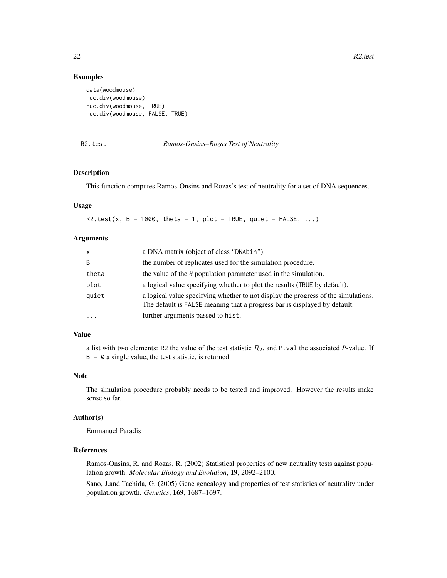#### Examples

```
data(woodmouse)
nuc.div(woodmouse)
nuc.div(woodmouse, TRUE)
nuc.div(woodmouse, FALSE, TRUE)
```
R2.test *Ramos-Onsins–Rozas Test of Neutrality*

# Description

This function computes Ramos-Onsins and Rozas's test of neutrality for a set of DNA sequences.

#### Usage

R2.test(x,  $B = 1000$ , theta = 1, plot = TRUE, quiet = FALSE, ...)

# Arguments

| X         | a DNA matrix (object of class "DNAbin").                                                                                                                        |
|-----------|-----------------------------------------------------------------------------------------------------------------------------------------------------------------|
| B         | the number of replicates used for the simulation procedure.                                                                                                     |
| theta     | the value of the $\theta$ population parameter used in the simulation.                                                                                          |
| plot      | a logical value specifying whether to plot the results (TRUE by default).                                                                                       |
| quiet     | a logical value specifying whether to not display the progress of the simulations.<br>The default is FALSE meaning that a progress bar is displayed by default. |
| $\ddotsc$ | further arguments passed to hist.                                                                                                                               |

#### Value

a list with two elements: R2 the value of the test statistic  $R_2$ , and P.val the associated P-value. If  $B = 0$  a single value, the test statistic, is returned

#### **Note**

The simulation procedure probably needs to be tested and improved. However the results make sense so far.

#### Author(s)

Emmanuel Paradis

#### References

Ramos-Onsins, R. and Rozas, R. (2002) Statistical properties of new neutrality tests against population growth. *Molecular Biology and Evolution*, 19, 2092–2100.

Sano, J.and Tachida, G. (2005) Gene genealogy and properties of test statistics of neutrality under population growth. *Genetics*, 169, 1687–1697.

<span id="page-21-0"></span>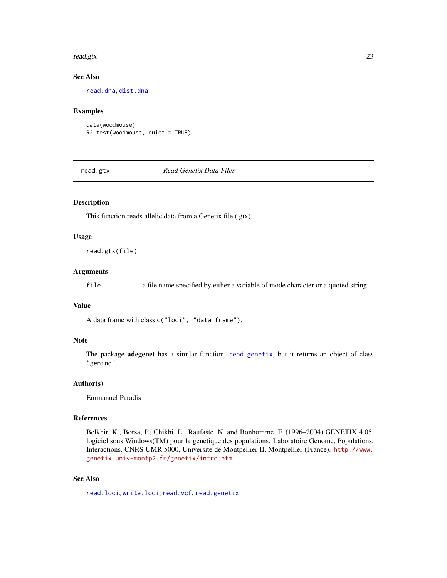#### <span id="page-22-0"></span>read.gtx 23

# See Also

[read.dna](#page-0-0), [dist.dna](#page-0-0)

#### Examples

data(woodmouse) R2.test(woodmouse, quiet = TRUE)

<span id="page-22-1"></span>read.gtx *Read Genetix Data Files*

#### Description

This function reads allelic data from a Genetix file (.gtx).

#### Usage

read.gtx(file)

### Arguments

file a file name specified by either a variable of mode character or a quoted string.

# Value

A data frame with class c("loci", "data.frame").

#### Note

The package adegenet has a similar function, [read.genetix](#page-0-0), but it returns an object of class "genind".

#### Author(s)

Emmanuel Paradis

#### References

Belkhir, K., Borsa, P., Chikhi, L., Raufaste, N. and Bonhomme, F. (1996–2004) GENETIX 4.05, logiciel sous Windows(TM) pour la genetique des populations. Laboratoire Genome, Populations, Interactions, CNRS UMR 5000, Universite de Montpellier II, Montpellier (France). [http://www.](http://www.genetix.univ-montp2.fr/genetix/intro.htm) [genetix.univ-montp2.fr/genetix/intro.htm](http://www.genetix.univ-montp2.fr/genetix/intro.htm)

# See Also

[read.loci](#page-23-1), [write.loci](#page-38-1), [read.vcf](#page-24-1), [read.genetix](#page-0-0)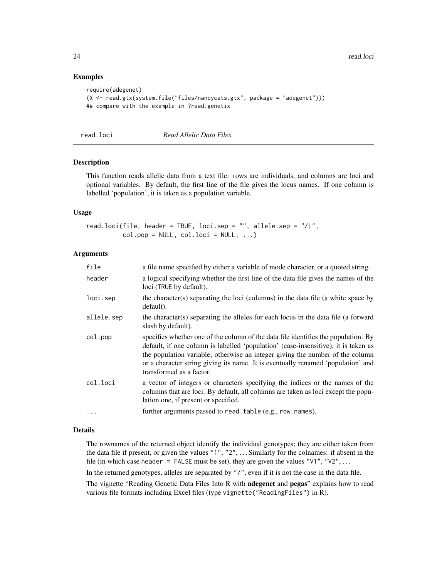#### Examples

```
require(adegenet)
(X <- read.gtx(system.file("files/nancycats.gtx", package = "adegenet")))
## compare with the example in ?read.genetix
```
<span id="page-23-1"></span>

read.loci *Read Allelic Data Files*

#### Description

This function reads allelic data from a text file: rows are individuals, and columns are loci and optional variables. By default, the first line of the file gives the locus names. If one column is labelled 'population', it is taken as a population variable.

#### Usage

read.loci(file, header = TRUE, loci.sep = "", allele.sep = "/|",  $col.pop = NULL, col.loci = NULL, ...$ 

## Arguments

| file       | a file name specified by either a variable of mode character, or a quoted string.                                                                                                                                                                                                                                                                                         |
|------------|---------------------------------------------------------------------------------------------------------------------------------------------------------------------------------------------------------------------------------------------------------------------------------------------------------------------------------------------------------------------------|
| header     | a logical specifying whether the first line of the data file gives the names of the<br>loci (TRUE by default).                                                                                                                                                                                                                                                            |
| loci.sep   | the character(s) separating the loci (columns) in the data file (a white space by<br>default).                                                                                                                                                                                                                                                                            |
| allele.sep | the character(s) separating the alleles for each locus in the data file (a forward<br>slash by default).                                                                                                                                                                                                                                                                  |
| col.pop    | specifies whether one of the column of the data file identifies the population. By<br>default, if one column is labelled 'population' (case-insensitive), it is taken as<br>the population variable; otherwise an integer giving the number of the column<br>or a character string giving its name. It is eventually renamed 'population' and<br>transformed as a factor. |
| col.loci   | a vector of integers or characters specifying the indices or the names of the<br>columns that are loci. By default, all columns are taken as loci except the popu-<br>lation one, if present or specified.                                                                                                                                                                |
| $\cdots$   | further arguments passed to read. table (e.g., row. names).                                                                                                                                                                                                                                                                                                               |

# Details

The rownames of the returned object identify the individual genotypes; they are either taken from the data file if present, or given the values  $"1", "2", \ldots$  Similarly for the colnames: if absent in the file (in which case header = FALSE must be set), they are given the values " $V1$ ", " $V2$ ", ...

In the returned genotypes, alleles are separated by "/", even if it is not the case in the data file.

The vignette "Reading Genetic Data Files Into R with **adegenet** and **pegas**" explains how to read various file formats including Excel files (type vignette("ReadingFiles") in R).

<span id="page-23-0"></span>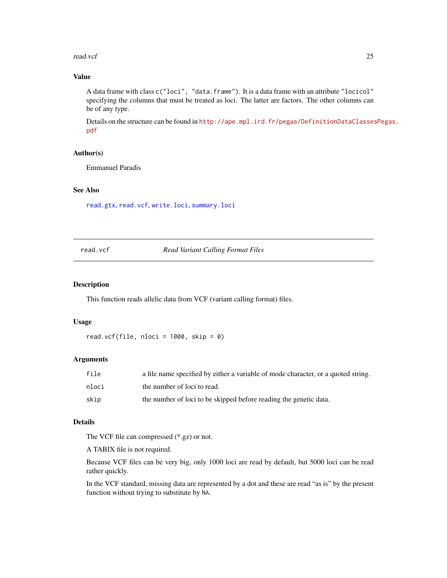#### <span id="page-24-0"></span>read.vcf 25

# Value

A data frame with class c("loci", "data.frame"). It is a data frame with an attribute "locicol" specifying the columns that must be treated as loci. The latter are factors. The other columns can be of any type.

Details on the structure can be found in [http://ape.mpl.ird.fr/pegas/DefinitionDataClasses](http://ape.mpl.ird.fr/pegas/DefinitionDataClassesPegas.pdf)Pegas. [pdf](http://ape.mpl.ird.fr/pegas/DefinitionDataClassesPegas.pdf)

# Author(s)

Emmanuel Paradis

# See Also

[read.gtx](#page-22-1), [read.vcf](#page-24-1), [write.loci](#page-38-1), [summary.loci](#page-28-1)

<span id="page-24-1"></span>read.vcf *Read Variant Calling Format Files*

#### Description

This function reads allelic data from VCF (variant calling format) files.

#### Usage

read.vcf(file, nloci =  $1000$ , skip = 0)

# Arguments

| file  | a file name specified by either a variable of mode character, or a quoted string. |
|-------|-----------------------------------------------------------------------------------|
| nloci | the number of loci to read.                                                       |
| skip  | the number of loci to be skipped before reading the genetic data.                 |

# Details

The VCF file can compressed (\*.gz) or not.

A TABIX file is not required.

Because VCF files can be very big, only 1000 loci are read by default, but 5000 loci can be read rather quickly.

In the VCF standard, missing data are represented by a dot and these are read "as is" by the present function without trying to substitute by NA.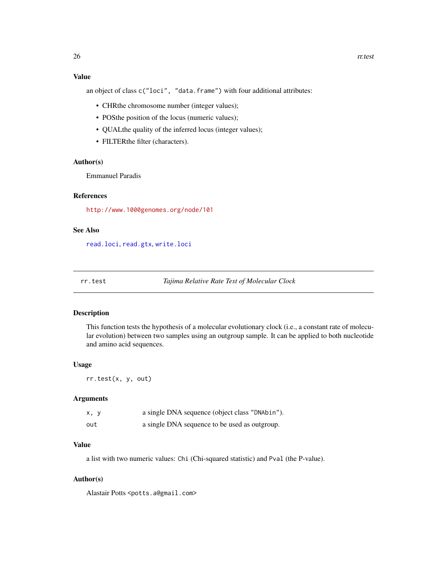# <span id="page-25-0"></span>Value

an object of class c("loci", "data.frame") with four additional attributes:

- CHRthe chromosome number (integer values);
- POSthe position of the locus (numeric values);
- QUALthe quality of the inferred locus (integer values);
- FILTERthe filter (characters).

# Author(s)

Emmanuel Paradis

# References

<http://www.1000genomes.org/node/101>

# See Also

[read.loci](#page-23-1), [read.gtx](#page-22-1), [write.loci](#page-38-1)

rr.test *Tajima Relative Rate Test of Molecular Clock*

# Description

This function tests the hypothesis of a molecular evolutionary clock (i.e., a constant rate of molecular evolution) between two samples using an outgroup sample. It can be applied to both nucleotide and amino acid sequences.

#### Usage

rr.test(x, y, out)

#### Arguments

| x, y | a single DNA sequence (object class "DNAbin"). |
|------|------------------------------------------------|
| out  | a single DNA sequence to be used as outgroup.  |

# Value

a list with two numeric values: Chi (Chi-squared statistic) and Pval (the P-value).

# Author(s)

Alastair Potts <potts.a@gmail.com>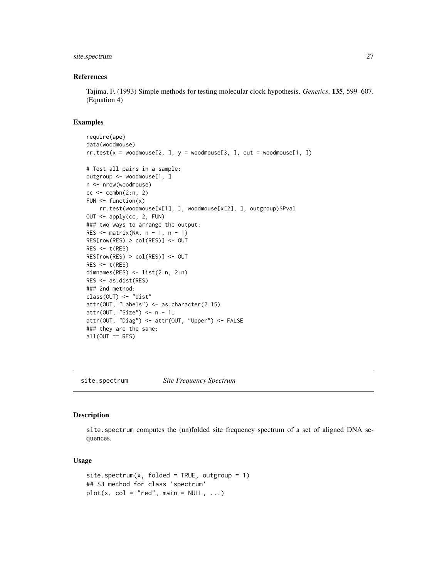# <span id="page-26-0"></span>site.spectrum 27

#### References

Tajima, F. (1993) Simple methods for testing molecular clock hypothesis. *Genetics*, 135, 599–607. (Equation 4)

#### Examples

```
require(ape)
data(woodmouse)
rr.test(x = woodmouse[2, ], y = woodmouse[3, ], out = woodmouse[1, ])# Test all pairs in a sample:
outgroup <- woodmouse[1, ]
n <- nrow(woodmouse)
cc < - combn(2:n, 2)FUN \leq function(x)
   rr.test(woodmouse[x[1], ], woodmouse[x[2], ], outgroup)$Pval
OUT <- apply(cc, 2, FUN)
### two ways to arrange the output:
RES \le matrix(NA, n - 1, n - 1)
RES[row(RES) > col(RES)] <- OUT
RES < -t(RES)RES[row(RES) > col(RES)] <- OUT
RES < -t(RES)dimnames(RES) <- list(2:n, 2:n)
RES <- as.dist(RES)
### 2nd method:
class(OUT) <- "dist"
attr(OUT, "Labels") <- as.character(2:15)
attr(OUT, "Size") <- n - 1L
attr(OUT, "Diag") <- attr(OUT, "Upper") <- FALSE
### they are the same:
all(OUT == RES)
```
site.spectrum *Site Frequency Spectrum*

#### Description

site.spectrum computes the (un)folded site frequency spectrum of a set of aligned DNA sequences.

#### Usage

```
site.spectrum(x, folded = TRUE, outgroup = 1)
## S3 method for class 'spectrum'
plot(x, col = "red", main = NULL, ...)
```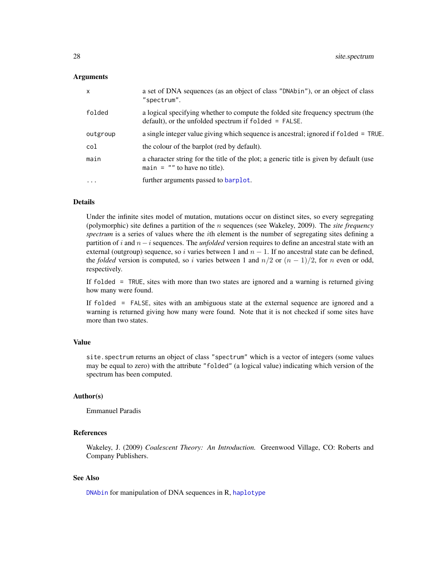#### <span id="page-27-0"></span>**Arguments**

| $\mathsf{x}$ | a set of DNA sequences (as an object of class "DNAbin"), or an object of class<br>"spectrum".                                               |
|--------------|---------------------------------------------------------------------------------------------------------------------------------------------|
| folded       | a logical specifying whether to compute the folded site frequency spectrum (the<br>$default)$ , or the unfolded spectrum if folded = FALSE. |
| outgroup     | a single integer value giving which sequence is ancestral; ignored if folded = TRUE.                                                        |
| col          | the colour of the barplot (red by default).                                                                                                 |
| main         | a character string for the title of the plot; a generic title is given by default (use<br>main $=$ "" to have no title).                    |
| $\cdots$     | further arguments passed to barplot.                                                                                                        |

#### Details

Under the infinite sites model of mutation, mutations occur on distinct sites, so every segregating (polymorphic) site defines a partition of the n sequences (see Wakeley, 2009). The *site frequency spectrum* is a series of values where the ith element is the number of segregating sites defining a partition of i and n−i sequences. The *unfolded* version requires to define an ancestral state with an external (outgroup) sequence, so i varies between 1 and  $n - 1$ . If no ancestral state can be defined, the *folded* version is computed, so i varies between 1 and  $n/2$  or  $(n - 1)/2$ , for n even or odd, respectively.

If folded = TRUE, sites with more than two states are ignored and a warning is returned giving how many were found.

If folded = FALSE, sites with an ambiguous state at the external sequence are ignored and a warning is returned giving how many were found. Note that it is not checked if some sites have more than two states.

#### Value

site.spectrum returns an object of class "spectrum" which is a vector of integers (some values may be equal to zero) with the attribute "folded" (a logical value) indicating which version of the spectrum has been computed.

#### Author(s)

Emmanuel Paradis

# References

Wakeley, J. (2009) *Coalescent Theory: An Introduction.* Greenwood Village, CO: Roberts and Company Publishers.

# See Also

[DNAbin](#page-0-0) for manipulation of DNA sequences in R, [haplotype](#page-11-1)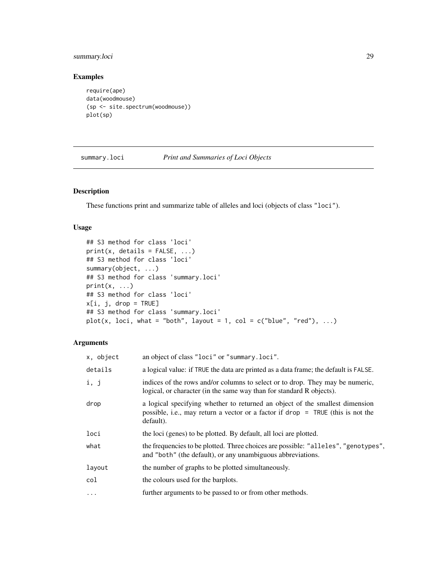# <span id="page-28-0"></span>summary.loci 29

# Examples

```
require(ape)
data(woodmouse)
(sp <- site.spectrum(woodmouse))
plot(sp)
```
<span id="page-28-1"></span>summary.loci *Print and Summaries of Loci Objects*

# Description

These functions print and summarize table of alleles and loci (objects of class "loci").

#### Usage

```
## S3 method for class 'loci'
print(x, details = FALSE, ...)## S3 method for class 'loci'
summary(object, ...)
## S3 method for class 'summary.loci'
print(x, \ldots)## S3 method for class 'loci'
x[i, j, drop = TRUE]
## S3 method for class 'summary.loci'
plot(x, loci, what = "both", layout = 1, col = c("blue", "red"), ...)
```
#### Arguments

| x, object  | an object of class "loci" or "summary.loci".                                                                                                                                   |
|------------|--------------------------------------------------------------------------------------------------------------------------------------------------------------------------------|
| details    | a logical value: if TRUE the data are printed as a data frame; the default is FALSE.                                                                                           |
| i, j       | indices of the rows and/or columns to select or to drop. They may be numeric,<br>logical, or character (in the same way than for standard R objects).                          |
| drop       | a logical specifying whether to returned an object of the smallest dimension<br>possible, i.e., may return a vector or a factor if $drop = TRUE$ (this is not the<br>default). |
| loci       | the loci (genes) to be plotted. By default, all loci are plotted.                                                                                                              |
| what       | the frequencies to be plotted. Three choices are possible: "alleles", "genotypes",<br>and "both" (the default), or any unambiguous abbreviations.                              |
| layout     | the number of graphs to be plotted simultaneously.                                                                                                                             |
| col        | the colours used for the barplots.                                                                                                                                             |
| $\ddots$ . | further arguments to be passed to or from other methods.                                                                                                                       |
|            |                                                                                                                                                                                |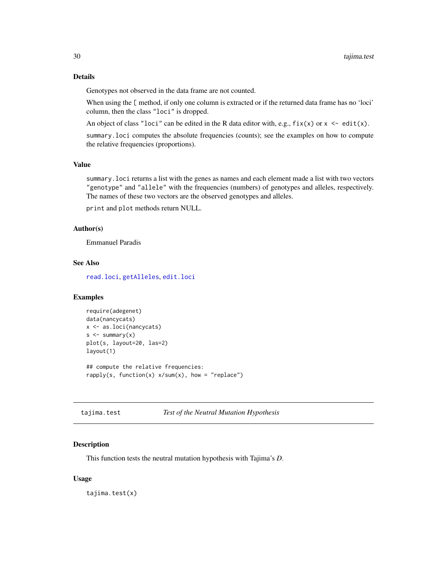<span id="page-29-0"></span>Genotypes not observed in the data frame are not counted.

When using the [ method, if only one column is extracted or if the returned data frame has no 'loci' column, then the class "loci" is dropped.

An object of class "loci" can be edited in the R data editor with, e.g.,  $fix(x)$  or  $x \leq -edit(x)$ .

summary.loci computes the absolute frequencies (counts); see the examples on how to compute the relative frequencies (proportions).

# Value

summary.loci returns a list with the genes as names and each element made a list with two vectors "genotype" and "allele" with the frequencies (numbers) of genotypes and alleles, respectively. The names of these two vectors are the observed genotypes and alleles.

print and plot methods return NULL.

#### Author(s)

Emmanuel Paradis

#### See Also

[read.loci](#page-23-1), [getAlleles](#page-36-1), [edit.loci](#page-6-1)

# Examples

```
require(adegenet)
data(nancycats)
x <- as.loci(nancycats)
s < - summary(x)plot(s, layout=20, las=2)
layout(1)
## compute the relative frequencies:
```
rapply(s, function(x)  $x/sum(x)$ , how = "replace")

tajima.test *Test of the Neutral Mutation Hypothesis*

#### Description

This function tests the neutral mutation hypothesis with Tajima's *D*.

#### Usage

tajima.test(x)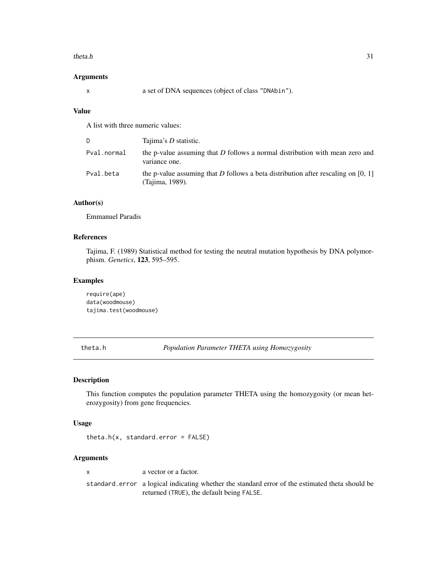#### <span id="page-30-0"></span>theta.h  $31$

#### Arguments

x a set of DNA sequences (object of class "DNAbin").

#### Value

A list with three numeric values:

| D           | Tajima's <i>D</i> statistic.                                                                           |
|-------------|--------------------------------------------------------------------------------------------------------|
| Pval.normal | the p-value assuming that D follows a normal distribution with mean zero and<br>variance one.          |
| Pval.beta   | the p-value assuming that D follows a beta distribution after rescaling on $[0, 1]$<br>(Tajima, 1989). |

# Author(s)

Emmanuel Paradis

# References

Tajima, F. (1989) Statistical method for testing the neutral mutation hypothesis by DNA polymorphism. *Genetics*, 123, 595–595.

### Examples

require(ape) data(woodmouse) tajima.test(woodmouse)

<span id="page-30-1"></span>theta.h *Population Parameter THETA using Homozygosity*

#### Description

This function computes the population parameter THETA using the homozygosity (or mean heterozygosity) from gene frequencies.

#### Usage

theta.h(x, standard.error = FALSE)

#### Arguments

x a vector or a factor.

standard.error a logical indicating whether the standard error of the estimated theta should be returned (TRUE), the default being FALSE.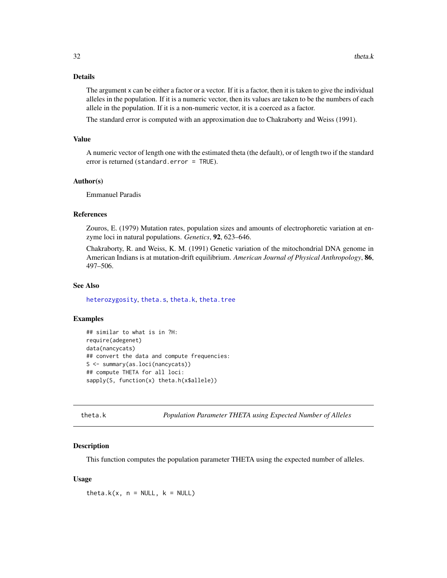# <span id="page-31-0"></span>Details

The argument x can be either a factor or a vector. If it is a factor, then it is taken to give the individual alleles in the population. If it is a numeric vector, then its values are taken to be the numbers of each allele in the population. If it is a non-numeric vector, it is a coerced as a factor.

The standard error is computed with an approximation due to Chakraborty and Weiss (1991).

#### Value

A numeric vector of length one with the estimated theta (the default), or of length two if the standard error is returned (standard.error = TRUE).

#### Author(s)

Emmanuel Paradis

# References

Zouros, E. (1979) Mutation rates, population sizes and amounts of electrophoretic variation at enzyme loci in natural populations. *Genetics*, 92, 623–646.

Chakraborty, R. and Weiss, K. M. (1991) Genetic variation of the mitochondrial DNA genome in American Indians is at mutation-drift equilibrium. *American Journal of Physical Anthropology*, 86, 497–506.

# See Also

[heterozygosity](#page-14-1), [theta.s](#page-34-1), [theta.k](#page-31-1), [theta.tree](#page-35-1)

#### Examples

```
## similar to what is in ?H:
require(adegenet)
data(nancycats)
## convert the data and compute frequencies:
S <- summary(as.loci(nancycats))
## compute THETA for all loci:
sapply(S, function(x) theta.h(x$allele))
```
<span id="page-31-1"></span>theta.k *Population Parameter THETA using Expected Number of Alleles*

#### **Description**

This function computes the population parameter THETA using the expected number of alleles.

#### Usage

theta.k(x,  $n = NULL$ ,  $k = NULL$ )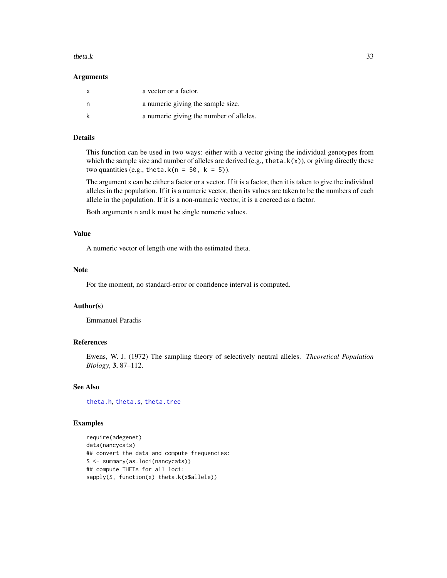#### <span id="page-32-0"></span>theta.k  $33$

#### Arguments

| X | a vector or a factor.                   |
|---|-----------------------------------------|
|   | a numeric giving the sample size.       |
|   | a numeric giving the number of alleles. |

# Details

This function can be used in two ways: either with a vector giving the individual genotypes from which the sample size and number of alleles are derived (e.g., theta.k(x)), or giving directly these two quantities (e.g., theta.k( $n = 50$ , k = 5)).

The argument x can be either a factor or a vector. If it is a factor, then it is taken to give the individual alleles in the population. If it is a numeric vector, then its values are taken to be the numbers of each allele in the population. If it is a non-numeric vector, it is a coerced as a factor.

Both arguments n and k must be single numeric values.

# Value

A numeric vector of length one with the estimated theta.

#### Note

For the moment, no standard-error or confidence interval is computed.

#### Author(s)

Emmanuel Paradis

#### References

Ewens, W. J. (1972) The sampling theory of selectively neutral alleles. *Theoretical Population Biology*, 3, 87–112.

#### See Also

[theta.h](#page-30-1), [theta.s](#page-34-1), [theta.tree](#page-35-1)

#### Examples

require(adegenet) data(nancycats) ## convert the data and compute frequencies: S <- summary(as.loci(nancycats)) ## compute THETA for all loci: sapply(S, function(x) theta.k(x\$allele))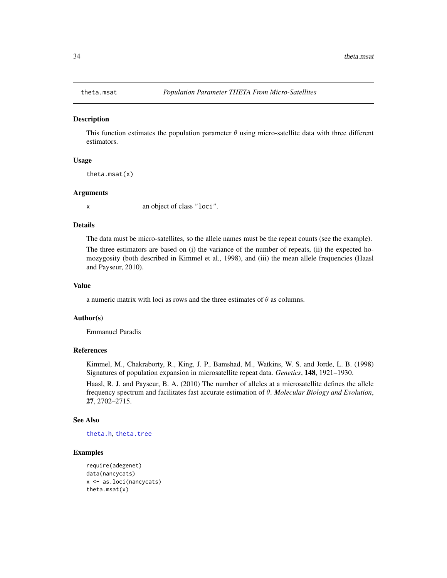<span id="page-33-0"></span>

#### **Description**

This function estimates the population parameter  $\theta$  using micro-satellite data with three different estimators.

# Usage

theta.msat(x)

#### Arguments

x an object of class "loci".

# Details

The data must be micro-satellites, so the allele names must be the repeat counts (see the example).

The three estimators are based on (i) the variance of the number of repeats, (ii) the expected homozygosity (both described in Kimmel et al., 1998), and (iii) the mean allele frequencies (Haasl and Payseur, 2010).

# Value

a numeric matrix with loci as rows and the three estimates of  $\theta$  as columns.

#### Author(s)

Emmanuel Paradis

#### References

Kimmel, M., Chakraborty, R., King, J. P., Bamshad, M., Watkins, W. S. and Jorde, L. B. (1998) Signatures of population expansion in microsatellite repeat data. *Genetics*, 148, 1921–1930.

Haasl, R. J. and Payseur, B. A. (2010) The number of alleles at a microsatellite defines the allele frequency spectrum and facilitates fast accurate estimation of θ. *Molecular Biology and Evolution*, 27, 2702–2715.

#### See Also

[theta.h](#page-30-1), [theta.tree](#page-35-1)

#### Examples

```
require(adegenet)
data(nancycats)
x <- as.loci(nancycats)
theta.msat(x)
```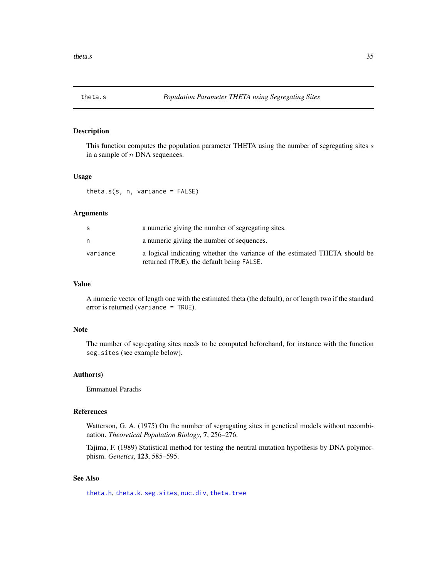<span id="page-34-1"></span><span id="page-34-0"></span>

#### Description

This function computes the population parameter THETA using the number of segregating sites s in a sample of n DNA sequences.

# Usage

theta.s(s, n, variance = FALSE)

# Arguments

| S        | a numeric giving the number of segregating sites.                                                                       |
|----------|-------------------------------------------------------------------------------------------------------------------------|
| n        | a numeric giving the number of sequences.                                                                               |
| variance | a logical indicating whether the variance of the estimated THETA should be<br>returned (TRUE), the default being FALSE. |

# Value

A numeric vector of length one with the estimated theta (the default), or of length two if the standard error is returned (variance = TRUE).

# Note

The number of segregating sites needs to be computed beforehand, for instance with the function seg.sites (see example below).

# Author(s)

Emmanuel Paradis

#### References

Watterson, G. A. (1975) On the number of segragating sites in genetical models without recombination. *Theoretical Population Biology*, 7, 256–276.

Tajima, F. (1989) Statistical method for testing the neutral mutation hypothesis by DNA polymorphism. *Genetics*, 123, 585–595.

# See Also

[theta.h](#page-30-1), [theta.k](#page-31-1), [seg.sites](#page-0-0), [nuc.div](#page-20-1), [theta.tree](#page-35-1)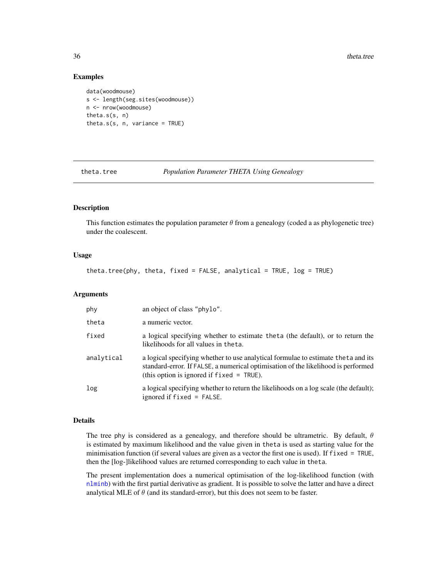#### Examples

```
data(woodmouse)
s <- length(seg.sites(woodmouse))
n <- nrow(woodmouse)
theta.s(s, n)
theta.s(s, n, variance = TRUE)
```
<span id="page-35-1"></span>

theta.tree *Population Parameter THETA Using Genealogy*

#### Description

This function estimates the population parameter  $\theta$  from a genealogy (coded a as phylogenetic tree) under the coalescent.

# Usage

theta.tree(phy, theta, fixed = FALSE, analytical = TRUE,  $log = TRUE$ )

#### Arguments

| phy        | an object of class "phylo".                                                                                                                                                                                             |
|------------|-------------------------------------------------------------------------------------------------------------------------------------------------------------------------------------------------------------------------|
| theta      | a numeric vector.                                                                                                                                                                                                       |
| fixed      | a logical specifying whether to estimate theta (the default), or to return the<br>likelihoods for all values in theta.                                                                                                  |
| analytical | a logical specifying whether to use analytical formulae to estimate the ta and its<br>standard-error. If FALSE, a numerical optimisation of the likelihood is performed<br>(this option is ignored if $fixed = TRUE$ ). |
| log        | a logical specifying whether to return the likelihoods on a log scale (the default);<br>ignored if $fixed = FALSE$ .                                                                                                    |

# Details

The tree phy is considered as a genealogy, and therefore should be ultrametric. By default,  $\theta$ is estimated by maximum likelihood and the value given in theta is used as starting value for the minimisation function (if several values are given as a vector the first one is used). If fixed = TRUE, then the [log-]likelihood values are returned corresponding to each value in theta.

The present implementation does a numerical optimisation of the log-likelihood function (with [nlminb](#page-0-0)) with the first partial derivative as gradient. It is possible to solve the latter and have a direct analytical MLE of  $\theta$  (and its standard-error), but this does not seem to be faster.

<span id="page-35-0"></span>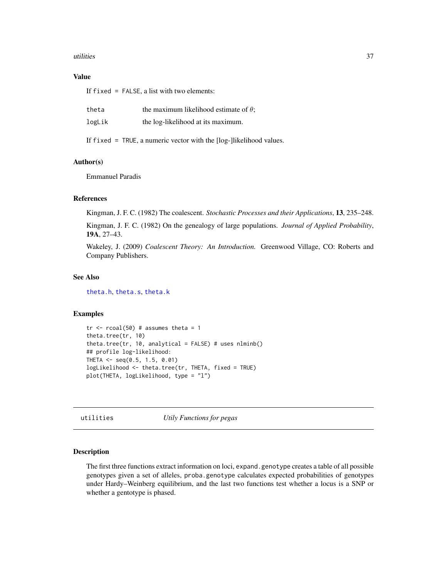#### <span id="page-36-0"></span>utilities 37

#### Value

If fixed = FALSE, a list with two elements:

| theta  | the maximum likelihood estimate of $\theta$ ; |
|--------|-----------------------------------------------|
| logLik | the log-likelihood at its maximum.            |

If fixed = TRUE, a numeric vector with the [log-]likelihood values.

#### Author(s)

Emmanuel Paradis

#### References

Kingman, J. F. C. (1982) The coalescent. *Stochastic Processes and their Applications*, 13, 235–248.

Kingman, J. F. C. (1982) On the genealogy of large populations. *Journal of Applied Probability*, 19A, 27–43.

Wakeley, J. (2009) *Coalescent Theory: An Introduction.* Greenwood Village, CO: Roberts and Company Publishers.

#### See Also

[theta.h](#page-30-1), [theta.s](#page-34-1), [theta.k](#page-31-1)

#### Examples

```
tr < -rcoal(50) # assumes theta = 1
theta.tree(tr, 10)
theta.tree(tr, 10, analytical = FALSE) # uses nlminb()
## profile log-likelihood:
THETA \leq seq(0.5, 1.5, 0.01)
logLikelihood <- theta.tree(tr, THETA, fixed = TRUE)
plot(THETA, logLikelihood, type = "l")
```
utilities *Utily Functions for pegas*

#### <span id="page-36-1"></span>Description

The first three functions extract information on loci, expand.genotype creates a table of all possible genotypes given a set of alleles, proba.genotype calculates expected probabilities of genotypes under Hardy–Weinberg equilibrium, and the last two functions test whether a locus is a SNP or whether a gentotype is phased.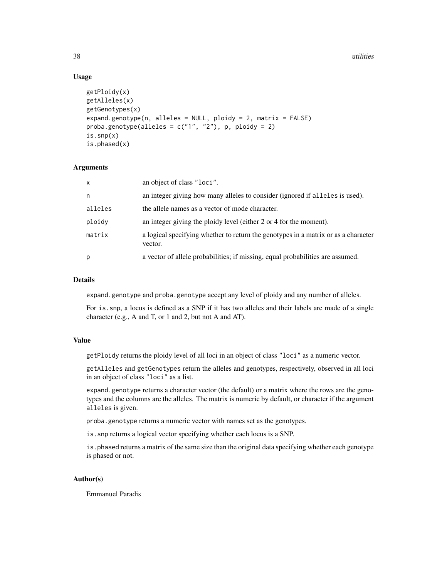38 utilities

# Usage

```
getPloidy(x)
getAlleles(x)
getGenotypes(x)
expand.genotype(n, alleles = NULL, ploidy = 2, matrix = FALSE)
proba.genotype(alleles = c("1", "2"), p, ploidy = 2)
is.snp(x)
is.phased(x)
```
### Arguments

| $\mathsf{x}$ | an object of class "loci".                                                                    |
|--------------|-----------------------------------------------------------------------------------------------|
| n            | an integer giving how many alleles to consider (ignored if alleles is used).                  |
| alleles      | the allele names as a vector of mode character.                                               |
| ploidy       | an integer giving the ploidy level (either 2 or 4 for the moment).                            |
| matrix       | a logical specifying whether to return the genotypes in a matrix or as a character<br>vector. |
| p            | a vector of allele probabilities; if missing, equal probabilities are assumed.                |

# **Details**

expand.genotype and proba.genotype accept any level of ploidy and any number of alleles.

For is.snp, a locus is defined as a SNP if it has two alleles and their labels are made of a single character (e.g., A and T, or 1 and 2, but not A and AT).

#### Value

getPloidy returns the ploidy level of all loci in an object of class "loci" as a numeric vector.

getAlleles and getGenotypes return the alleles and genotypes, respectively, observed in all loci in an object of class "loci" as a list.

expand.genotype returns a character vector (the default) or a matrix where the rows are the genotypes and the columns are the alleles. The matrix is numeric by default, or character if the argument alleles is given.

proba.genotype returns a numeric vector with names set as the genotypes.

is.snp returns a logical vector specifying whether each locus is a SNP.

is. phased returns a matrix of the same size than the original data specifying whether each genotype is phased or not.

#### Author(s)

Emmanuel Paradis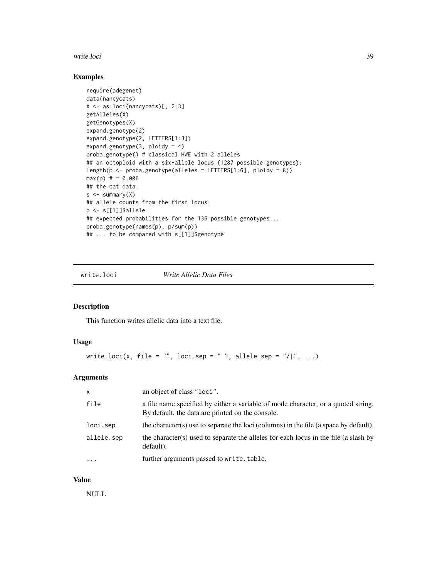#### <span id="page-38-0"></span>write.loci 39

# Examples

```
require(adegenet)
data(nancycats)
X <- as.loci(nancycats)[, 2:3]
getAlleles(X)
getGenotypes(X)
expand.genotype(2)
expand.genotype(2, LETTERS[1:3])
expand.genotype(3, ploidy = 4)
proba.genotype() # classical HWE with 2 alleles
## an octoploid with a six-allele locus (1287 possible genotypes):
length(p \leq proba.genotype(alleles = LETTERS[1:6], ploidy = 8))
max(p) # ~ 0.006
## the cat data:
s \leq -\text{summary}(X)## allele counts from the first locus:
p <- s[[1]]$allele
## expected probabilities for the 136 possible genotypes...
proba.genotype(names(p), p/sum(p))
## ... to be compared with s[[1]]$genotype
```
<span id="page-38-1"></span>write.loci *Write Allelic Data Files*

# Description

This function writes allelic data into a text file.

# Usage

```
write.loci(x, file = "", loci.sep = " ", allele.sep = "/|", ...)
```
# Arguments

| $\mathsf{x}$ | an object of class "loci".                                                                                                            |
|--------------|---------------------------------------------------------------------------------------------------------------------------------------|
| file         | a file name specified by either a variable of mode character, or a quoted string.<br>By default, the data are printed on the console. |
| loci.sep     | the character(s) use to separate the loci (columns) in the file (a space by default).                                                 |
| allele.sep   | the character(s) used to separate the alleles for each locus in the file (a slash by<br>default).                                     |
| $\ddotsc$    | further arguments passed to write.table.                                                                                              |

#### Value

NULL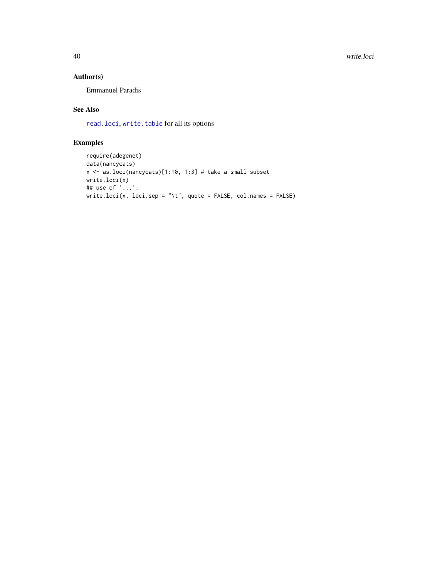<span id="page-39-0"></span>40 write.loci

# Author(s)

Emmanuel Paradis

# See Also

[read.loci](#page-23-1), [write.table](#page-0-0) for all its options

# Examples

```
require(adegenet)
data(nancycats)
x <- as.loci(nancycats)[1:10, 1:3] # take a small subset
write.loci(x)
## use of '...':
write.loci(x, loci.sep = "\\t", quote = FALSE, col.names = FALSE)
```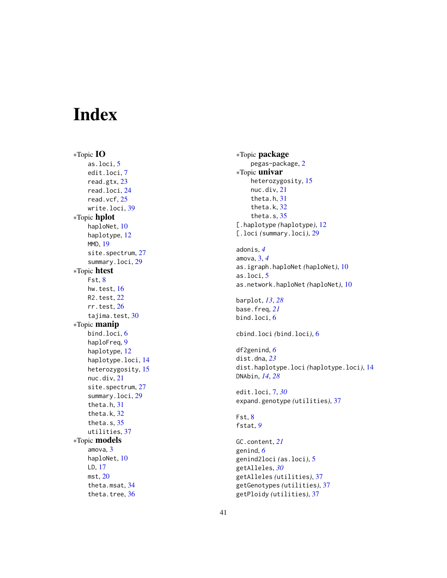# <span id="page-40-0"></span>Index

∗Topic IO as.loci , [5](#page-4-0) edit.loci , [7](#page-6-0) read.gtx , [23](#page-22-0) read.loci , [24](#page-23-0) read.vcf , [25](#page-24-0) write.loci , [39](#page-38-0) ∗Topic hplot haploNet , [10](#page-9-0) haplotype , [12](#page-11-0) MMD , [19](#page-18-0) site.spectrum, [27](#page-26-0) summary.loci, [29](#page-28-0) ∗Topic htest Fst , [8](#page-7-0) hw.test, [16](#page-15-0) R2.test , [22](#page-21-0) rr.test , [26](#page-25-0) tajima.test , [30](#page-29-0) ∗Topic manip bind.loci, [6](#page-5-0) haploFreq , [9](#page-8-0) haplotype , [12](#page-11-0) haplotype.loci , [14](#page-13-0) heterozygosity , [15](#page-14-0) nuc.div , [21](#page-20-0) site.spectrum, [27](#page-26-0) summary.loci , [29](#page-28-0) theta.h , [31](#page-30-0) theta.k , [32](#page-31-0) theta.s , [35](#page-34-0) utilities , [37](#page-36-0) ∗Topic models amova , [3](#page-2-0) haploNet, [10](#page-9-0) LD , [17](#page-16-0) mst , [20](#page-19-0) theta.msat , [34](#page-33-0) theta.tree, [36](#page-35-0)

∗Topic package pegas-package , [2](#page-1-0) ∗Topic univar heterozygosity , [15](#page-14-0) nuc.div , [21](#page-20-0) theta.h , [31](#page-30-0) theta.k , [32](#page-31-0) theta.s, [35](#page-34-0) [.haplotype *(*haplotype *)* , [12](#page-11-0) [.loci *(*summary.loci *)* , [29](#page-28-0) adonis , *[4](#page-3-0)* amova , [3](#page-2-0) , *[4](#page-3-0)* as.igraph.haploNet *(*haploNet *)* , [10](#page-9-0) as.loci , [5](#page-4-0) as.network.haploNet *(*haploNet *)* , [10](#page-9-0) barplot , *[13](#page-12-0)* , *[28](#page-27-0)* base.freq , *[21](#page-20-0)* bind.loci , [6](#page-5-0) cbind.loci *(*bind.loci *)* , [6](#page-5-0) df2genind , *[6](#page-5-0)* dist.dna , *[23](#page-22-0)* dist.haplotype.loci *(*haplotype.loci *)* , [14](#page-13-0) DNAbin , *[14](#page-13-0)* , *[28](#page-27-0)* edit.loci , [7](#page-6-0) , *[30](#page-29-0)* expand.genotype *(*utilities *)* , [37](#page-36-0) Fst , [8](#page-7-0) fstat , *[9](#page-8-0)* GC.content , *[21](#page-20-0)* genind , *[6](#page-5-0)* genind2loci *(*as.loci *)* , [5](#page-4-0) getAlleles , *[30](#page-29-0)* getAlleles *(*utilities *)* , [37](#page-36-0) getGenotypes *(*utilities *)* , [37](#page-36-0) getPloidy *(*utilities *)* , [37](#page-36-0)